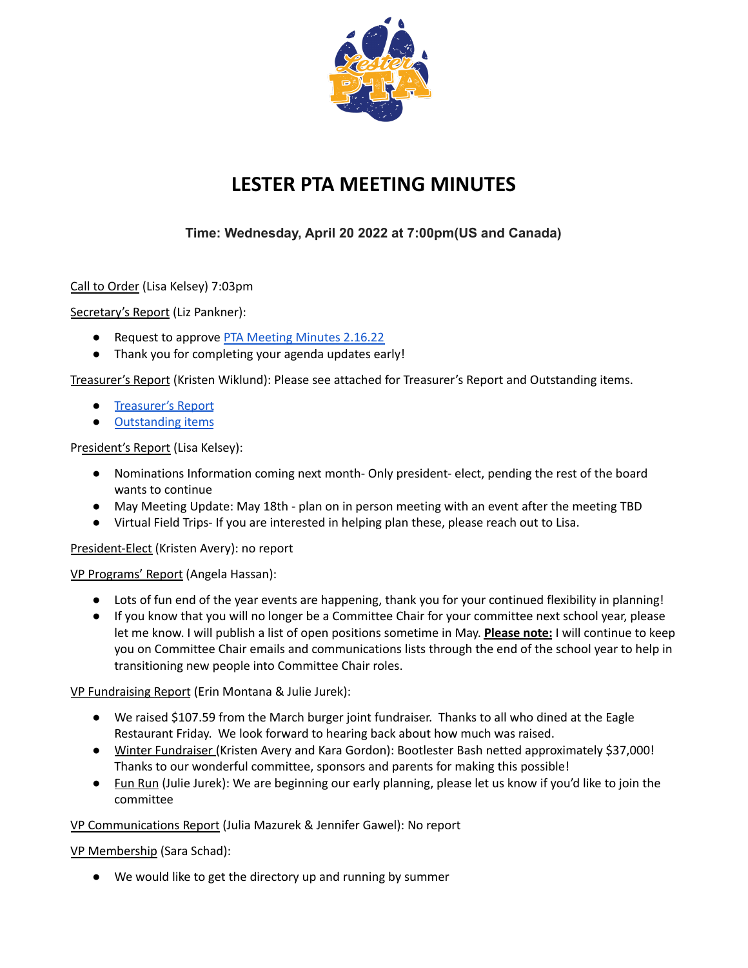

# **LESTER PTA MEETING MINUTES**

## **Time: Wednesday, April 20 2022 at 7:00pm(US and Canada)**

Call to Order (Lisa Kelsey) 7:03pm

Secretary's Report (Liz Pankner):

- Request to approve PTA [Meeting](https://docs.google.com/document/d/1Ti7DafCcXSOgZ9Gg6e_uakiVcbK8Mu9r3Vm-86NfnOc/edit?usp=sharing) Minutes 2.16.22
- Thank you for completing your agenda updates early!

Treasurer's Report (Kristen Wiklund): Please see attached for Treasurer's Report and Outstanding items.

- [Treasurer's](https://drive.google.com/file/d/1gm4G8qdgpaFjJJrzWhn4NdP4YpA8Ex2T/view?usp=sharing) Report
- [Outstanding](https://drive.google.com/file/d/11oBP2mqeJpcSzt6r1Yb3Z93btJt_U7HJ/view?usp=sharing) items

## President's Report (Lisa Kelsey):

- Nominations Information coming next month- Only president- elect, pending the rest of the board wants to continue
- May Meeting Update: May 18th plan on in person meeting with an event after the meeting TBD
- Virtual Field Trips- If you are interested in helping plan these, please reach out to Lisa.

President-Elect (Kristen Avery): no report

#### VP Programs' Report (Angela Hassan):

- Lots of fun end of the year events are happening, thank you for your continued flexibility in planning!
- If you know that you will no longer be a Committee Chair for your committee next school year, please let me know. I will publish a list of open positions sometime in May. **Please note:** I will continue to keep you on Committee Chair emails and communications lists through the end of the school year to help in transitioning new people into Committee Chair roles.

VP Fundraising Report (Erin Montana & Julie Jurek):

- We raised \$107.59 from the March burger joint fundraiser. Thanks to all who dined at the Eagle Restaurant Friday. We look forward to hearing back about how much was raised.
- Winter Fundraiser (Kristen Avery and Kara Gordon): Bootlester Bash netted approximately \$37,000! Thanks to our wonderful committee, sponsors and parents for making this possible!
- Fun Run (Julie Jurek): We are beginning our early planning, please let us know if you'd like to join the committee

VP Communications Report (Julia Mazurek & Jennifer Gawel): No report

VP Membership (Sara Schad):

● We would like to get the directory up and running by summer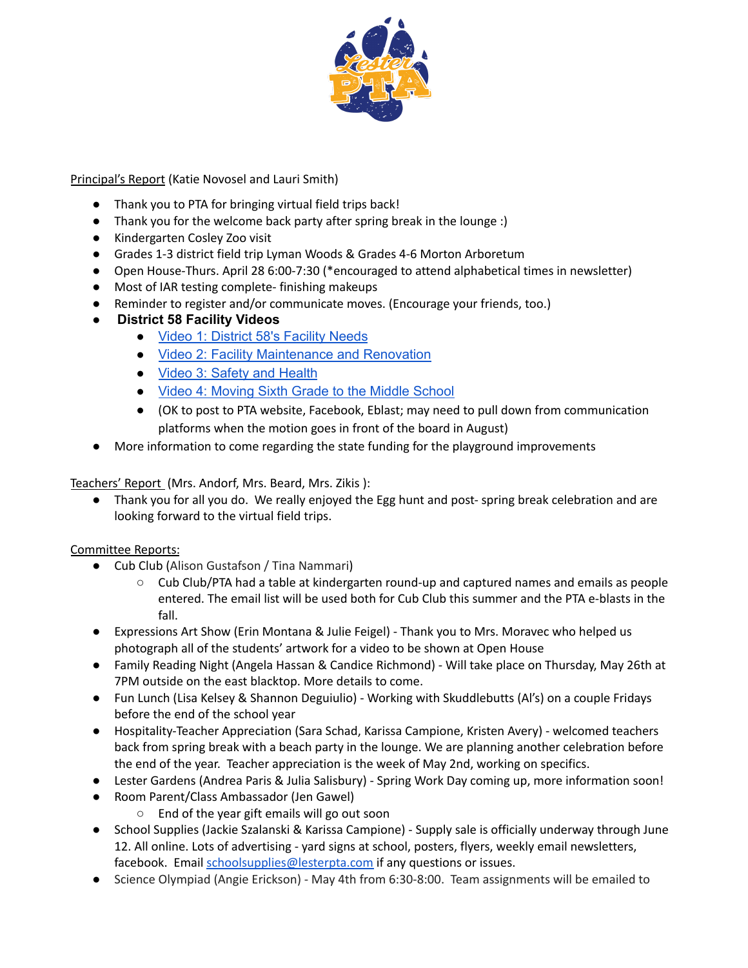

Principal's Report (Katie Novosel and Lauri Smith)

- Thank you to PTA for bringing virtual field trips back!
- Thank you for the welcome back party after spring break in the lounge :)
- Kindergarten Cosley Zoo visit
- Grades 1-3 district field trip Lyman Woods & Grades 4-6 Morton Arboretum
- Open House-Thurs. April 28 6:00-7:30 (\*encouraged to attend alphabetical times in newsletter)
- Most of IAR testing complete- finishing makeups
- Reminder to register and/or communicate moves. (Encourage your friends, too.)
- **District 58 Facility Videos**
	- Video 1: District 58's [Facility](https://youtu.be/lV4nY4us17A) Needs
	- Video 2: Facility [Maintenance](https://youtu.be/z4hlBrh3XPU) and Renovation
	- Video 3: Safety and [Health](https://youtu.be/RR5Mgv3rRcw)
	- Video 4: [Moving](https://youtu.be/5gk4PRzc8To) Sixth Grade to the Middle School
	- (OK to post to PTA website, Facebook, Eblast; may need to pull down from communication platforms when the motion goes in front of the board in August)
- More information to come regarding the state funding for the playground improvements

Teachers' Report (Mrs. Andorf, Mrs. Beard, Mrs. Zikis):

● Thank you for all you do. We really enjoyed the Egg hunt and post- spring break celebration and are looking forward to the virtual field trips.

Committee Reports:

- Cub Club (Alison Gustafson / Tina Nammari)
	- Cub Club/PTA had a table at kindergarten round-up and captured names and emails as people entered. The email list will be used both for Cub Club this summer and the PTA e-blasts in the fall.
- Expressions Art Show (Erin Montana & Julie Feigel) Thank you to Mrs. Moravec who helped us photograph all of the students' artwork for a video to be shown at Open House
- Family Reading Night (Angela Hassan & Candice Richmond) Will take place on Thursday, May 26th at 7PM outside on the east blacktop. More details to come.
- Fun Lunch (Lisa Kelsey & Shannon Deguiulio) Working with Skuddlebutts (Al's) on a couple Fridays before the end of the school year
- Hospitality-Teacher Appreciation (Sara Schad, Karissa Campione, Kristen Avery) welcomed teachers back from spring break with a beach party in the lounge. We are planning another celebration before the end of the year. Teacher appreciation is the week of May 2nd, working on specifics.
- Lester Gardens (Andrea Paris & Julia Salisbury) Spring Work Day coming up, more information soon!
- Room Parent/Class Ambassador (Jen Gawel)
	- End of the year gift emails will go out soon
- School Supplies (Jackie Szalanski & Karissa Campione) Supply sale is officially underway through June 12. All online. Lots of advertising - yard signs at school, posters, flyers, weekly email newsletters, facebook. Email [schoolsupplies@lesterpta.com](mailto:schoolsupplies@lesterpta.com) if any questions or issues.
- Science Olympiad (Angie Erickson) May 4th from 6:30-8:00. Team assignments will be emailed to